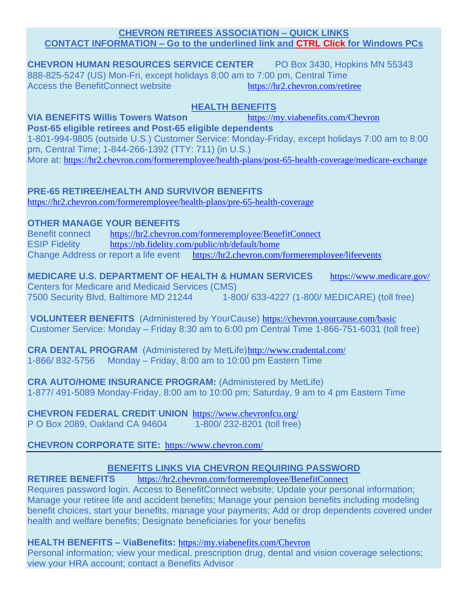#### **CHEVRON RETIREES ASSOCIATION – QUICK LINKS CONTACT INFORMATION – Go to the underlined link and CTRL Click for Windows PCs**

**CHEVRON HUMAN RESOURCES SERVICE CENTER** PO Box 3430, Hopkins MN 55343 888-825-5247 (US) Mon-Fri, except holidays 8:00 am to 7:00 pm, Central Time Access the BenefitConnect website <https://hr2.chevron.com/retiree>

## **HEALTH BENEFITS**

**VIA BENEFITS Willis Towers Watson** <https://my.viabenefits.com/Chevron>

**Post-65 eligible retirees and Post-65 eligible dependents** 1-801-994-9805 (outside U.S.) Customer Service: Monday-Friday, except holidays 7:00 am to 8:00 pm, Central Time; 1-844-266-1392 (TTY: 711) (in U.S.) More at: <https://hr2.chevron.com/formeremployee/health-plans/post-65-health-coverage/medicare-exchange>

## **PRE-65 RETIREE/HEALTH AND SURVIVOR BENEFITS**

<https://hr2.chevron.com/formeremployee/health-plans/pre-65-health-coverage>

#### **OTHER MANAGE YOUR BENEFITS**

Benefit connect <https://hr2.chevron.com/formeremployee/BenefitConnect> ESIP Fidelity <https://nb.fidelity.com/public/nb/default/home> Change Address or report a life event <https://hr2.chevron.com/formeremployee/lifeevents>

**MEDICARE U.S. DEPARTMENT OF HEALTH & HUMAN SERVICES** <https://www.medicare.gov/> Centers for Medicare and Medicaid Services (CMS) 7500 Security Blvd, Baltimore MD 21244 1-800/ 633-4227 (1-800/ MEDICARE) (toll free)

**VOLUNTEER BENEFITS** (Administered by YourCause) <https://chevron.yourcause.com/basic> Customer Service: Monday – Friday 8:30 am to 6:00 pm Central Time 1-866-751-6031 (toll free)

**CRA DENTAL PROGRAM** (Administered by MetLife)<http://www.cradental.com/> 1-866/ 832-5756 Monday – Friday, 8:00 am to 10:00 pm Eastern Time

**CRA AUTO/HOME INSURANCE PROGRAM:** (Administered by MetLife) 1-877/ 491-5089 Monday-Friday, 8:00 am to 10:00 pm; Saturday, 9 am to 4 pm Eastern Time

**CHEVRON FEDERAL CREDIT UNION** <https://www.chevronfcu.org/> P O Box 2089, Oakland CA 94604 1-800/ 232-8201 (toll free)

### **CHEVRON CORPORATE SITE:** <https://www.chevron.com/>

### **BENEFITS LINKS VIA CHEVRON REQUIRING PASSWORD**

**RETIREE BENEFITS** <https://hr2.chevron.com/formeremployee/BenefitConnect>

Requires password login. Access to BenefitConnect website; Update your personal information; Manage your retiree life and accident benefits; Manage your pension benefits including modeling benefit choices, start your benefits, manage your payments; Add or drop dependents covered under health and welfare benefits; Designate beneficiaries for your benefits

**HEALTH BENEFITS – ViaBenefits:** <https://my.viabenefits.com/Chevron>

Personal information; view your medical, prescription drug, dental and vision coverage selections; view your HRA account; contact a Benefits Advisor